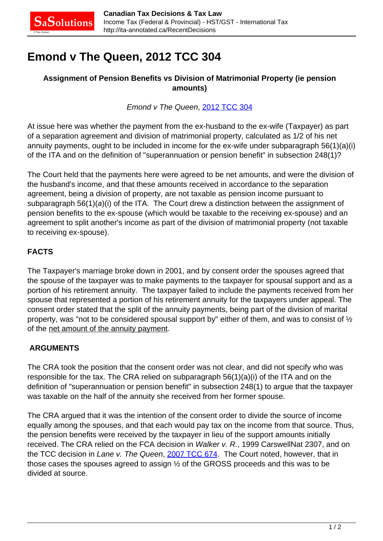# **Emond v The Queen, 2012 TCC 304**

## **Assignment of Pension Benefits vs Division of Matrimonial Property (ie pension amounts)**

## Emond v The Queen, [2012 TCC 304](http://decision.tcc-cci.gc.ca/en/2012/2012tcc304/2012tcc304.html)

At issue here was whether the payment from the ex-husband to the ex-wife (Taxpayer) as part of a separation agreement and division of matrimonial property, calculated as 1/2 of his net annuity payments, ought to be included in income for the ex-wife under subparagraph 56(1)(a)(i) of the ITA and on the definition of "superannuation or pension benefit" in subsection 248(1)?

The Court held that the payments here were agreed to be net amounts, and were the division of the husband's income, and that these amounts received in accordance to the separation agreement, being a division of property, are not taxable as pension income pursuant to subparagraph 56(1)(a)(i) of the ITA. The Court drew a distinction between the assignment of pension benefits to the ex-spouse (which would be taxable to the receiving ex-spouse) and an agreement to split another's income as part of the division of matrimonial property (not taxable to receiving ex-spouse).

## **FACTS**

The Taxpayer's marriage broke down in 2001, and by consent order the spouses agreed that the spouse of the taxpayer was to make payments to the taxpayer for spousal support and as a portion of his retirement annuity. The taxpayer failed to include the payments received from her spouse that represented a portion of his retirement annuity for the taxpayers under appeal. The consent order stated that the split of the annuity payments, being part of the division of marital property, was "not to be considered spousal support by" either of them, and was to consist of ½ of the net amount of the annuity payment.

## **ARGUMENTS**

The CRA took the position that the consent order was not clear, and did not specify who was responsible for the tax. The CRA relied on subparagraph 56(1)(a)(i) of the ITA and on the definition of "superannuation or pension benefit" in subsection 248(1) to argue that the taxpayer was taxable on the half of the annuity she received from her former spouse.

The CRA argued that it was the intention of the consent order to divide the source of income equally among the spouses, and that each would pay tax on the income from that source. Thus, the pension benefits were received by the taxpayer in lieu of the support amounts initially received. The CRA relied on the FCA decision in Walker v. R., 1999 CarswellNat 2307, and on the TCC decision in Lane v. The Queen, [2007 TCC 674.](http://canlii.ca/t/1tn0p) The Court noted, however, that in those cases the spouses agreed to assign ½ of the GROSS proceeds and this was to be divided at source.